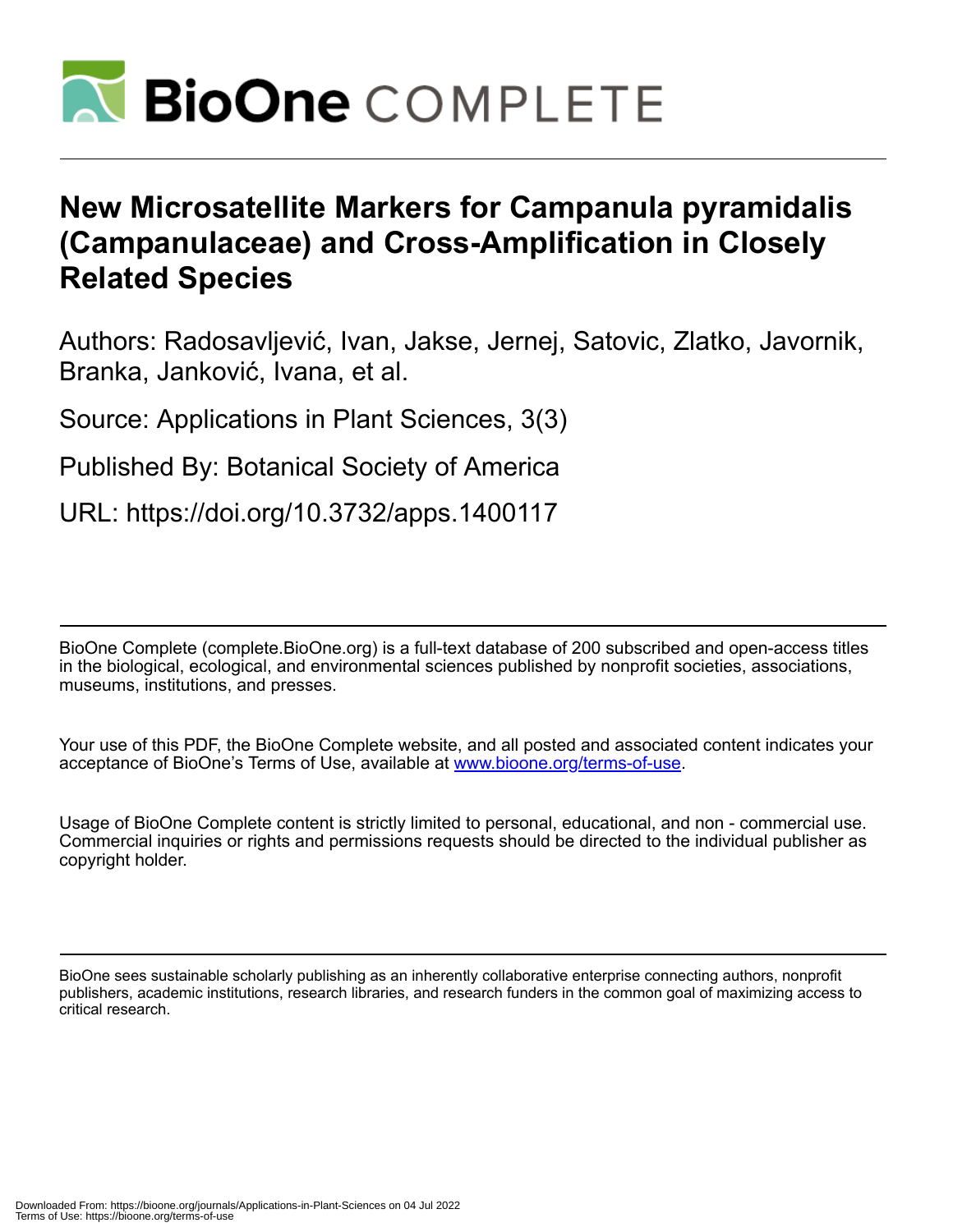

# **New Microsatellite Markers for Campanula pyramidalis (Campanulaceae) and Cross-Amplification in Closely Related Species**

Authors: Radosavljević, Ivan, Jakse, Jernej, Satovic, Zlatko, Javornik, Branka, Janković, Ivana, et al.

Source: Applications in Plant Sciences, 3(3)

Published By: Botanical Society of America

URL: https://doi.org/10.3732/apps.1400117

BioOne Complete (complete.BioOne.org) is a full-text database of 200 subscribed and open-access titles in the biological, ecological, and environmental sciences published by nonprofit societies, associations, museums, institutions, and presses.

Your use of this PDF, the BioOne Complete website, and all posted and associated content indicates your acceptance of BioOne's Terms of Use, available at www.bioone.org/terms-of-use.

Usage of BioOne Complete content is strictly limited to personal, educational, and non - commercial use. Commercial inquiries or rights and permissions requests should be directed to the individual publisher as copyright holder.

BioOne sees sustainable scholarly publishing as an inherently collaborative enterprise connecting authors, nonprofit publishers, academic institutions, research libraries, and research funders in the common goal of maximizing access to critical research.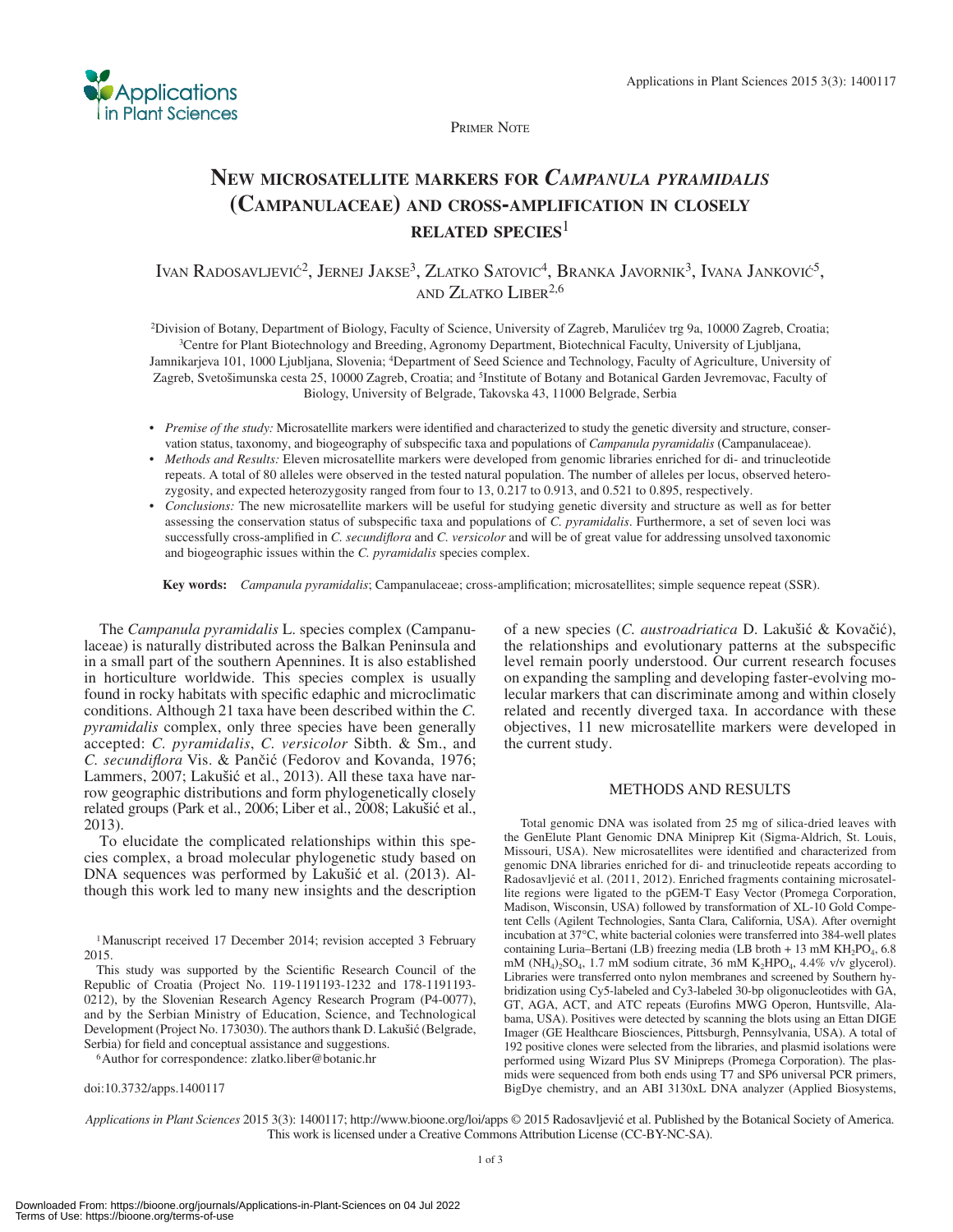

PRIMER NOTE

# **NEW MICROSATELLITE MARKERS FOR** *CAMPANULA PYRAMIDALIS*  **(CAMPANULACEAE) AND CROSS-AMPLIFICATION IN CLOSELY RELATED SPECIES**<sup>1</sup>

IVAN RADOSAVLJEVIĆ<sup>2</sup>, JERNEJ JAKSE<sup>3</sup>, ZLATKO SATOVIC<sup>4</sup>, BRANKA JAVORNIK<sup>3</sup>, IVANA JANKOVIĆ<sup>5</sup>, AND ZLATKO LIBER<sup>2,6</sup>

<sup>2</sup>Division of Botany, Department of Biology, Faculty of Science, University of Zagreb, Marulićev trg 9a, 10000 Zagreb, Croatia;<br><sup>3</sup>Centre for Plant Biotechnology and Breeding, Agronomy Department, Biotechnical Faculty, Un Jamnikarjeva 101, 1000 Ljubljana, Slovenia; <sup>4</sup>Department of Seed Science and Technology, Faculty of Agriculture, University of Zagreb, Svetošimunska cesta 25, 10000 Zagreb, Croatia; and <sup>5</sup>Institute of Botany and Botanical Garden Jevremovac, Faculty of Biology, University of Belgrade, Takovska 43, 11000 Belgrade, Serbia

- Premise of the study: Microsatellite markers were identified and characterized to study the genetic diversity and structure, conservation status, taxonomy, and biogeography of subspecific taxa and populations of *Campanula pyramidalis* (Campanulaceae).
- *Methods and Results:* Eleven microsatellite markers were developed from genomic libraries enriched for di- and trinucleotide repeats. A total of 80 alleles were observed in the tested natural population. The number of alleles per locus, observed heterozygosity, and expected heterozygosity ranged from four to 13, 0.217 to 0.913, and 0.521 to 0.895, respectively.
- *Conclusions:* The new microsatellite markers will be useful for studying genetic diversity and structure as well as for better assessing the conservation status of subspecific taxa and populations of *C. pyramidalis*. Furthermore, a set of seven loci was successfully cross-amplified in *C. secundiflora* and *C. versicolor* and will be of great value for addressing unsolved taxonomic and biogeographic issues within the *C. pyramidalis* species complex.

Key words: *Campanula pyramidalis*; Campanulaceae; cross-amplification; microsatellites; simple sequence repeat (SSR).

 The *Campanula pyramidalis* L. species complex (Campanulaceae) is naturally distributed across the Balkan Peninsula and in a small part of the southern Apennines. It is also established in horticulture worldwide. This species complex is usually found in rocky habitats with specific edaphic and microclimatic conditions. Although 21 taxa have been described within the *C. pyramidalis* complex, only three species have been generally accepted: *C. pyramidalis* , *C. versicolor* Sibth. & Sm., and *C. secundiflora* Vis. & Pančić (Fedorov and Kovanda, 1976; Lammers, 2007; Lakušić et al., 2013). All these taxa have narrow geographic distributions and form phylogenetically closely related groups (Park et al., 2006; Liber et al., 2008; Lakušić et al., 2013 ).

 To elucidate the complicated relationships within this species complex, a broad molecular phylogenetic study based on DNA sequences was performed by Lakušić et al. (2013). Although this work led to many new insights and the description

<sup>1</sup> Manuscript received 17 December 2014; revision accepted 3 February 2015.

This study was supported by the Scientific Research Council of the Republic of Croatia (Project No. 119-1191193-1232 and 178-1191193- 0212), by the Slovenian Research Agency Research Program (P4-0077), and by the Serbian Ministry of Education, Science, and Technological Development (Project No. 173030). The authors thank D. Lakušić (Belgrade, Serbia) for field and conceptual assistance and suggestions. <br><sup>6</sup> Author for correspondence: zlatko.liber@botanic.hr

doi:10.3732/apps.1400117

of a new species (*C. austroadriatica* D. Lakušić & Kovačić), the relationships and evolutionary patterns at the subspecific level remain poorly understood. Our current research focuses on expanding the sampling and developing faster-evolving molecular markers that can discriminate among and within closely related and recently diverged taxa. In accordance with these objectives, 11 new microsatellite markers were developed in the current study.

## METHODS AND RESULTS

 Total genomic DNA was isolated from 25 mg of silica-dried leaves with the GenElute Plant Genomic DNA Miniprep Kit (Sigma-Aldrich, St. Louis, Missouri, USA). New microsatellites were identified and characterized from genomic DNA libraries enriched for di- and trinucleotide repeats according to Radosavljević et al. (2011, 2012). Enriched fragments containing microsatellite regions were ligated to the pGEM-T Easy Vector (Promega Corporation, Madison, Wisconsin, USA) followed by transformation of XL-10 Gold Competent Cells (Agilent Technologies, Santa Clara, California, USA). After overnight incubation at 37°C, white bacterial colonies were transferred into 384-well plates containing Luria–Bertani (LB) freezing media (LB broth + 13 mM  $KH_2PO_4$ , 6.8 mM ( $NH_4$ )<sub>2</sub>SO<sub>4</sub>, 1.7 mM sodium citrate, 36 mM K<sub>2</sub>HPO<sub>4</sub>, 4.4% v/v glycerol). Libraries were transferred onto nylon membranes and screened by Southern hybridization using Cy5-labeled and Cy3-labeled 30-bp oligonucleotides with GA, GT, AGA, ACT, and ATC repeats (Eurofins MWG Operon, Huntsville, Alabama, USA). Positives were detected by scanning the blots using an Ettan DIGE Imager (GE Healthcare Biosciences, Pittsburgh, Pennsylvania, USA). A total of 192 positive clones were selected from the libraries, and plasmid isolations were performed using Wizard Plus SV Minipreps (Promega Corporation). The plasmids were sequenced from both ends using T7 and SP6 universal PCR primers, BigDye chemistry, and an ABI 3130xL DNA analyzer (Applied Biosystems,

Applications in Plant Sciences 2015 3(3): 1400117; http://www.bioone.org/loi/apps © 2015 Radosavljević et al. Published by the Botanical Society of America. This work is licensed under a Creative Commons Attribution License (CC-BY-NC-SA).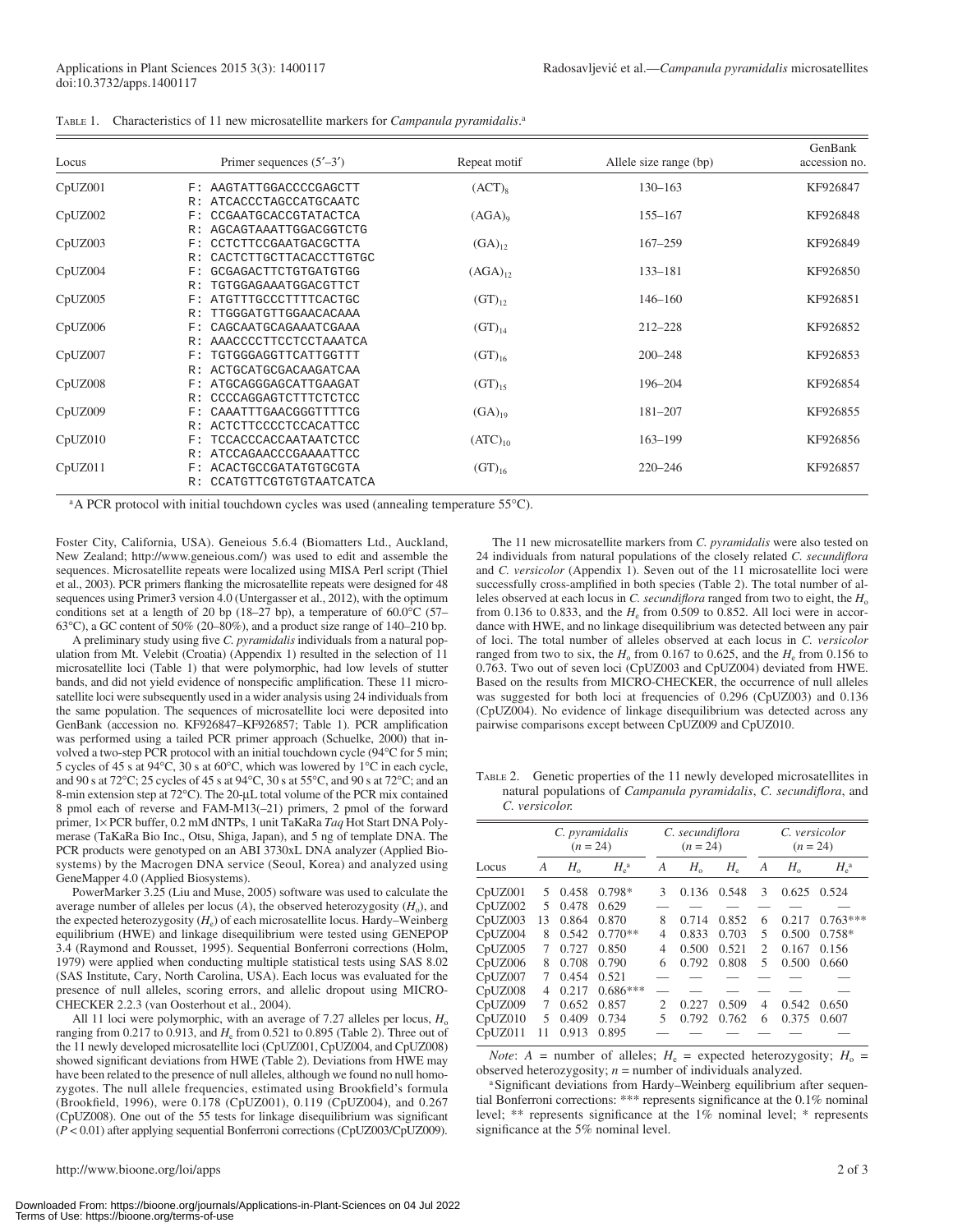| Locus   | Primer sequences $(5'–3')$                  | Repeat motif       | Allele size range (bp) | GenBank<br>accession no. |
|---------|---------------------------------------------|--------------------|------------------------|--------------------------|
| CpUZ001 | AAGTATTGGACCCCGAGCTT<br>F:                  | $(ACT)_{8}$        | $130 - 163$            | KF926847                 |
|         | ATCACCCTAGCCATGCAATC<br>R:                  |                    |                        |                          |
| CpUZ002 | CCGAATGCACCGTATACTCA<br>F:                  | (AGA) <sub>0</sub> | $155 - 167$            | KF926848                 |
|         | AGCAGTAAATTGGACGGTCTG<br>R:                 |                    |                        |                          |
| CpUZ003 | CCTCTTCCGAATGACGCTTA<br>$_{\rm F}$ :        | $(GA)_{12}$        | $167 - 259$            | KF926849                 |
|         | CACTCTTGCTTACACCTTGTGC<br>R:                |                    |                        |                          |
| CpUZ004 | GCGAGACTTCTGTGATGTGG<br>$_{\rm F}$ :        | $(AGA)_{12}$       | $133 - 181$            | KF926850                 |
|         | TGTGGAGAAATGGACGTTCT<br>R:                  |                    |                        |                          |
| CpUZ005 | ATGTTTGCCCTTTTCACTGC<br>$_{\rm F}$ :        | $(GT)_{12}$        | $146 - 160$            | KF926851                 |
|         | TTGGGATGTTGGAACACAAA<br>R:                  |                    |                        |                          |
| CpUZ006 | CAGCAATGCAGAAATCGAAA<br>F:                  | $(GT)_{14}$        | $212 - 228$            | KF926852                 |
|         | AAACCCCTTCCTCCTAAATCA<br>R:                 |                    |                        |                          |
| CpUZ007 | TGTGGGAGGTTCATTGGTTT<br>$_{\rm F}$ :        | $(GT)_{16}$        | $200 - 248$            | KF926853                 |
|         | ACTGCATGCGACAAGATCAA<br>R:                  |                    |                        |                          |
| CpUZ008 | ATGCAGGGAGCATTGAAGAT<br>F:                  | $(GT)_{15}$        | 196-204                | KF926854                 |
|         | CCCCAGGAGTCTTTCTCTCC<br>R:                  |                    |                        |                          |
| CpUZ009 | CAAATTTGAACGGGTTTTCG<br>$_{\rm F}$ :        | $(GA)_{19}$        | $181 - 207$            | KF926855                 |
|         | <b>ACTCTTCCCCTCCACATTCC</b><br>R:           |                    |                        |                          |
| CpUZ010 | <b>TCCACCCACCAATAATCTCC</b><br>$_{\rm F}$ : | $(ATC)_{10}$       | $163 - 199$            | KF926856                 |
|         | ATCCAGAACCCGAAAATTCC<br>R:                  |                    |                        |                          |
| CpUZ011 | ACACTGCCGATATGTGCGTA<br>$_{\rm F}$ :        | $(GT)_{16}$        | $220 - 246$            | KF926857                 |
|         | CCATGTTCGTGTGTAATCATCA<br>R:                |                    |                        |                          |

TABLE 1. Characteristics of 11 new microsatellite markers for *Campanula pyramidalis* . a

<sup>a</sup>A PCR protocol with initial touchdown cycles was used (annealing temperature 55°C).

Foster City, California, USA). Geneious 5.6.4 (Biomatters Ltd., Auckland, New Zealand; http://www.geneious.com/) was used to edit and assemble the sequences. Microsatellite repeats were localized using MISA Perl script (Thiel et al., 2003). PCR primers flanking the microsatellite repeats were designed for 48 sequences using Primer3 version 4.0 (Untergasser et al., 2012), with the optimum conditions set at a length of 20 bp (18–27 bp), a temperature of 60.0 °C (57– 63 $^{\circ}$ C), a GC content of 50% (20–80%), and a product size range of 140–210 bp.

A preliminary study using five *C. pyramidalis* individuals from a natural population from Mt. Velebit (Croatia) (Appendix 1) resulted in the selection of 11 microsatellite loci (Table 1) that were polymorphic, had low levels of stutter bands, and did not yield evidence of nonspecific amplification. These 11 microsatellite loci were subsequently used in a wider analysis using 24 individuals from the same population. The sequences of microsatellite loci were deposited into GenBank (accession no. KF926847-KF926857; Table 1). PCR amplification was performed using a tailed PCR primer approach (Schuelke, 2000) that involved a two-step PCR protocol with an initial touchdown cycle (94°C for 5 min; 5 cycles of 45 s at 94°C, 30 s at 60°C, which was lowered by 1°C in each cycle, and 90 s at 72 $\degree$ C; 25 cycles of 45 s at 94 $\degree$ C, 30 s at 55 $\degree$ C, and 90 s at 72 $\degree$ C; and an 8-min extension step at 72°C). The 20-μL total volume of the PCR mix contained 8 pmol each of reverse and FAM-M13(–21) primers, 2 pmol of the forward primer, 1× PCR buffer, 0.2 mM dNTPs, 1 unit TaKaRa *Taq* Hot Start DNA Polymerase (TaKaRa Bio Inc., Otsu, Shiga, Japan), and 5 ng of template DNA. The PCR products were genotyped on an ABI 3730xL DNA analyzer (Applied Biosystems) by the Macrogen DNA service (Seoul, Korea) and analyzed using GeneMapper 4.0 (Applied Biosystems).

PowerMarker 3.25 (Liu and Muse, 2005) software was used to calculate the average number of alleles per locus  $(A)$ , the observed heterozygosity  $(H_0)$ , and the expected heterozygosity ( $H_e$ ) of each microsatellite locus. Hardy–Weinberg equilibrium (HWE) and linkage disequilibrium were tested using GENEPOP 3.4 (Raymond and Rousset, 1995). Sequential Bonferroni corrections (Holm, 1979 ) were applied when conducting multiple statistical tests using SAS 8.02 (SAS Institute, Cary, North Carolina, USA). Each locus was evaluated for the presence of null alleles, scoring errors, and allelic dropout using MICRO-CHECKER 2.2.3 (van Oosterhout et al., 2004).

All 11 loci were polymorphic, with an average of  $7.27$  alleles per locus,  $H_0$ ranging from  $0.217$  to  $0.913$ , and  $H<sub>e</sub>$  from  $0.521$  to  $0.895$  (Table 2). Three out of the 11 newly developed microsatellite loci (CpUZ001, CpUZ004, and CpUZ008) showed significant deviations from HWE (Table 2). Deviations from HWE may have been related to the presence of null alleles, although we found no null homozygotes. The null allele frequencies, estimated using Brookfield's formula (Brookfield, 1996), were 0.178 (CpUZ001), 0.119 (CpUZ004), and 0.267  $(CpUZ008)$ . One out of the 55 tests for linkage disequilibrium was significant ( *P* < 0.01) after applying sequential Bonferroni corrections (CpUZ003/CpUZ009).

 The 11 new microsatellite markers from *C. pyramidalis* were also tested on 24 individuals from natural populations of the closely related *C. secundiflora* and *C. versicolor* (Appendix 1). Seven out of the 11 microsatellite loci were successfully cross-amplified in both species (Table 2). The total number of alleles observed at each locus in *C. secundiflora* ranged from two to eight, the  $H_0$ from 0.136 to 0.833, and the  $H_e$  from 0.509 to 0.852. All loci were in accordance with HWE, and no linkage disequilibrium was detected between any pair of loci. The total number of alleles observed at each locus in *C. versicolor* ranged from two to six, the  $H_0$  from 0.167 to 0.625, and the  $H_e$  from 0.156 to 0.763. Two out of seven loci (CpUZ003 and CpUZ004) deviated from HWE. Based on the results from MICRO-CHECKER, the occurrence of null alleles was suggested for both loci at frequencies of 0.296 (CpUZ003) and 0.136 (CpUZ004). No evidence of linkage disequilibrium was detected across any pairwise comparisons except between CpUZ009 and CpUZ010.

 TABLE 2. Genetic properties of the 11 newly developed microsatellites in natural populations of *Campanula pyramidalis*, *C. secundiflora*, and *C. versicolor.*

|         | C. pyramidalis<br>$(n = 24)$ |             |               | C. secundiflora<br>$(n = 24)$ |             | C. versicolor<br>$(n = 24)$ |                |             |                     |
|---------|------------------------------|-------------|---------------|-------------------------------|-------------|-----------------------------|----------------|-------------|---------------------|
| Locus   | А                            | $H_{\rm o}$ | $H_e^{\rm a}$ | A                             | $H_{\rm o}$ | $H_{\scriptscriptstyle e}$  | A              | $H_{\rm o}$ | $H_{\rm e}^{\rm a}$ |
| CpUZ001 | 5                            | 0.458       | $0.798*$      | 3                             | 0.136       | 0.548                       | 3              | 0.625       | 0.524               |
| CpUZ002 | 5                            | 0.478       | 0.629         |                               |             |                             |                |             |                     |
| CpUZ003 | 13                           | 0.864       | 0.870         | 8                             | 0.714       | 0.852                       | 6              | 0.217       | $0.763***$          |
| CpUZ004 | 8                            | 0.542       | $0.770**$     | 4                             | 0.833       | 0.703                       | 5              | 0.500       | $0.758*$            |
| CpUZ005 | 7                            | 0.727       | 0.850         | 4                             | 0.500       | 0.521                       | $\mathfrak{D}$ | 0.167       | 0.156               |
| CpUZ006 | 8                            | 0.708       | 0.790         | 6                             | 0.792       | 0.808                       | 5              | 0.500       | 0.660               |
| CpUZ007 | 7                            | 0.454       | 0.521         |                               |             |                             |                |             |                     |
| CpUZ008 | 4                            | 0.217       | $0.686***$    |                               |             |                             |                |             |                     |
| CpUZ009 | 7                            | 0.652       | 0.857         | $\mathcal{D}_{\mathcal{L}}$   | 0.227       | 0.509                       | 4              | 0.542       | 0.650               |
| CpUZ010 | 5                            | 0.409       | 0.734         | 5                             | 0.792       | 0.762                       | 6              | 0.375       | 0.607               |
| CpUZ011 | 11                           | 0.913       | 0.895         |                               |             |                             |                |             |                     |

*Note*:  $A =$  number of alleles;  $H_e =$  expected heterozygosity;  $H_o =$ observed heterozygosity;  $n =$  number of individuals analyzed.

<sup>a</sup>Significant deviations from Hardy–Weinberg equilibrium after sequential Bonferroni corrections: \*\*\* represents significance at the  $0.1\%$  nominal level; \*\* represents significance at the 1% nominal level; \* represents significance at the 5% nominal level.